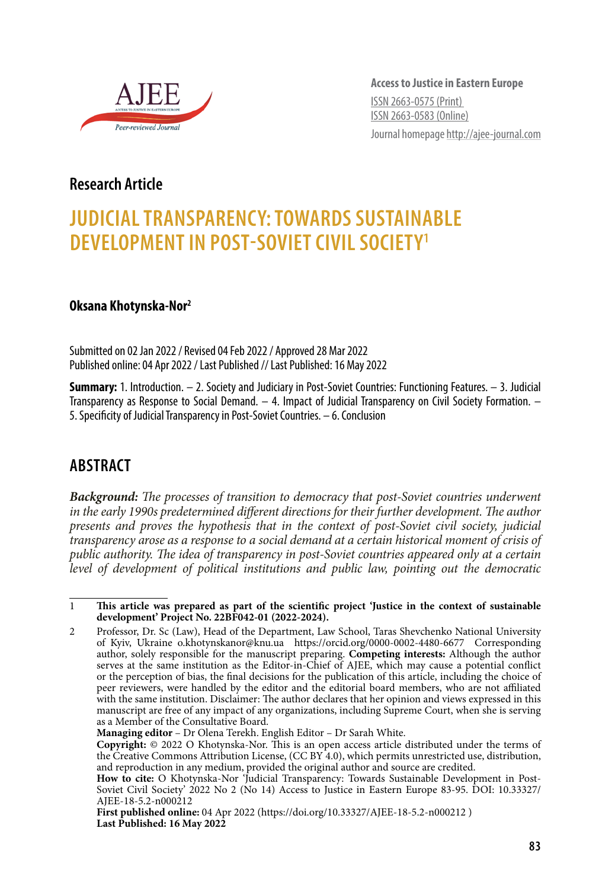

**Access to Justice in Eastern Europe** ISSN 2663-0575 (Print) ISSN 2663-0583 (Online) Journal homepage http://ajee-journal.com

# **Research Article**

# **JUDICIAL TRANSPARENCY: TOWARDS SUSTAINABLE DEVELOPMENT IN POST-SOVIET CIVIL SOCIETY1**

#### **Oksana Khotynska-Nor2**

Submitted on 02 Jan 2022 / Revised 04 Feb 2022 / Approved 28 Mar 2022 Published online: 04 Apr 2022 / Last Published // Last Published: 16 May 2022

**Summary:** 1. Introduction. – 2. Society and Judiciary in Post-Soviet Countries: Functioning Features. – 3. Judicial Transparency as Response to Social Demand. – 4. Impact of Judicial Transparency on Civil Society Formation. – 5. Specificity of Judicial Transparency in Post-Soviet Countries. – 6. Conclusion

# **ABSTRACT**

*Background: The processes of transition to democracy that post-Soviet countries underwent*  in the early 1990s predetermined different directions for their further development. The author *presents and proves the hypothesis that in the context of post-Soviet civil society, judicial transparency arose as a response to a social demand at a certain historical moment of crisis of public authority. The idea of transparency in post-Soviet countries appeared only at a certain level of development of political institutions and public law, pointing out the democratic* 

<sup>1</sup> **This article was prepared as part of the scientific project 'Justice in the context of sustainable development' Project No. 22BF042-01 (2022-2024).**

<sup>2</sup> Professor, Dr. Sc (Law), Head of the Department, Law School, Taras Shevchenko National University of Kyiv, Ukraine o.khotynskanor@knu.ua https://orcid.org/0000-0002-4480-6677 Corresponding author, solely responsible for the manuscript preparing. **Competing interests:** Although the author serves at the same institution as the Editor-in-Chief of AJEE, which may cause a potential conflict or the perception of bias, the final decisions for the publication of this article, including the choice of peer reviewers, were handled by the editor and the editorial board members, who are not affiliated with the same institution. Disclaimer: The author declares that her opinion and views expressed in this manuscript are free of any impact of any organizations, including Supreme Court, when she is serving as a Member of the Consultative Board.

**Managing editor** – Dr Olena Terekh. English Editor – Dr Sarah White.

**Copyright:** © 2022 O Khotynska-Nor. This is an open access article distributed under the terms of the Creative Commons Attribution License, (CC BY 4.0), which permits unrestricted use, distribution, and reproduction in any medium, provided the original author and source are credited.

**How to cite:** O Khotynska-Nor 'Judicial Transparency: Towards Sustainable Development in Post-Soviet Civil Society' 2022 No 2 (No 14) Access to Justice in Eastern Europe 83-95. DOI: 10.33327/ AJEE-18-5.2-n000212

**First published online:** 04 Apr 2022 (https://doi.org/10.33327/AJEE-18-5.2-n000212 ) **Last Published: 16 May 2022**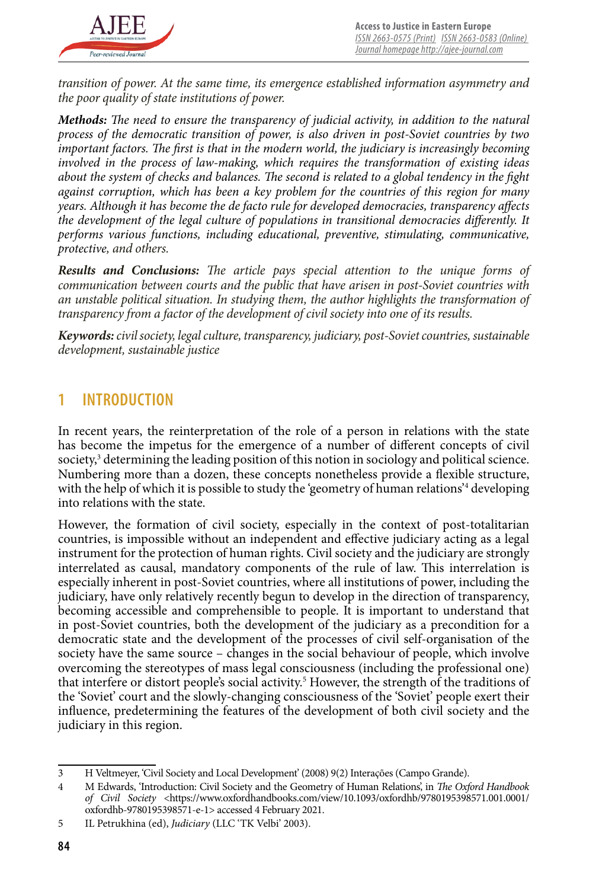

*transition of power. At the same time, its emergence established information asymmetry and the poor quality of state institutions of power.*

*Methods: The need to ensure the transparency of judicial activity, in addition to the natural process of the democratic transition of power, is also driven in post-Soviet countries by two important factors. The first is that in the modern world, the judiciary is increasingly becoming involved in the process of law-making, which requires the transformation of existing ideas about the system of checks and balances. The second is related to a global tendency in the fight against corruption, which has been a key problem for the countries of this region for many years. Although it has become the de facto rule for developed democracies, transparency affects the development of the legal culture of populations in transitional democracies differently. It performs various functions, including educational, preventive, stimulating, communicative, protective, and others.*

*Results and Conclusions: The article pays special attention to the unique forms of communication between courts and the public that have arisen in post-Soviet countries with an unstable political situation. In studying them, the author highlights the transformation of transparency from a factor of the development of civil society into one of its results.*

*Keywords: civil society, legal culture, transparency, judiciary, post-Soviet countries, sustainable development, sustainable justice*

#### **1 INTRODUCTION**

In recent years, the reinterpretation of the role of a person in relations with the state has become the impetus for the emergence of a number of different concepts of civil society,<sup>3</sup> determining the leading position of this notion in sociology and political science. Numbering more than a dozen, these concepts nonetheless provide a flexible structure, with the help of which it is possible to study the 'geometry of human relations'<sup>4</sup> developing into relations with the state.

However, the formation of civil society, especially in the context of post-totalitarian countries, is impossible without an independent and effective judiciary acting as a legal instrument for the protection of human rights. Civil society and the judiciary are strongly interrelated as causal, mandatory components of the rule of law. This interrelation is especially inherent in post-Soviet countries, where all institutions of power, including the judiciary, have only relatively recently begun to develop in the direction of transparency, becoming accessible and comprehensible to people. It is important to understand that in post-Soviet countries, both the development of the judiciary as a precondition for a democratic state and the development of the processes of civil self-organisation of the society have the same source – changes in the social behaviour of people, which involve overcoming the stereotypes of mass legal consciousness (including the professional one) that interfere or distort people's social activity.<sup>5</sup> However, the strength of the traditions of the 'Soviet' court and the slowly-changing consciousness of the 'Soviet' people exert their influence, predetermining the features of the development of both civil society and the judiciary in this region.

<sup>3</sup> H Veltmeyer, 'Civil Society and Local Development' (2008) 9(2) Interações (Campo Grande).

<sup>4</sup> M Edwards, 'Introduction: Civil Society and the Geometry of Human Relations', in *The Oxford Handbook of Civil Society* <https://www.oxfordhandbooks.com/view/10.1093/oxfordhb/9780195398571.001.0001/ oxfordhb-9780195398571-e-1> accessed 4 February 2021.

<sup>5</sup> IL Petrukhina (ed), *Judiciary* (LLC 'TK Velbi' 2003).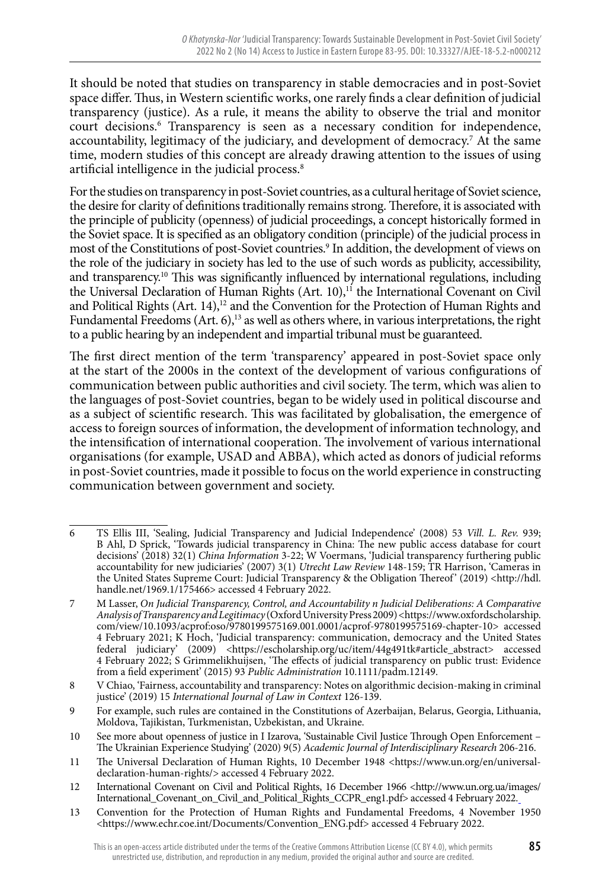It should be noted that studies on transparency in stable democracies and in post-Soviet space differ. Thus, in Western scientific works, one rarely finds a clear definition of judicial transparency (justice). As a rule, it means the ability to observe the trial and monitor court decisions.<sup>6</sup> Transparency is seen as a necessary condition for independence, accountability, legitimacy of the judiciary, and development of democracy.<sup>7</sup> At the same time, modern studies of this concept are already drawing attention to the issues of using artificial intelligence in the judicial process.<sup>8</sup>

For the studies on transparency in post-Soviet countries, as a cultural heritage of Soviet science, the desire for clarity of definitions traditionally remains strong. Therefore, it is associated with the principle of publicity (openness) of judicial proceedings, a concept historically formed in the Soviet space. It is specified as an obligatory condition (principle) of the judicial process in most of the Constitutions of post-Soviet countries.<sup>9</sup> In addition, the development of views on the role of the judiciary in society has led to the use of such words as publicity, accessibility, and transparency.<sup>10</sup> This was significantly influenced by international regulations, including the Universal Declaration of Human Rights (Art. 10),<sup>11</sup> the International Covenant on Civil and Political Rights  $(Art. 14)<sup>12</sup>$  and the Convention for the Protection of Human Rights and Fundamental Freedoms (Art. 6),<sup>13</sup> as well as others where, in various interpretations, the right to a public hearing by an independent and impartial tribunal must be guaranteed.

The first direct mention of the term 'transparency' appeared in post-Soviet space only at the start of the 2000s in the context of the development of various configurations of communication between public authorities and civil society. The term, which was alien to the languages of post-Soviet countries, began to be widely used in political discourse and as a subject of scientific research. This was facilitated by globalisation, the emergence of access to foreign sources of information, the development of information technology, and the intensification of international cooperation. The involvement of various international organisations (for example, USAD and ABBA), which acted as donors of judicial reforms in post-Soviet countries, made it possible to focus on the world experience in constructing communication between government and society.

<sup>6</sup> TS Ellis III, 'Sealing, Judicial Transparency and Judicial Independence' (2008) 53 *Vill. L. Rev.* 939; B Ahl, D Sprick, 'Towards judicial transparency in China: The new public access database for court decisions' (2018) 32(1) *China Information* 3-22; W Voermans, 'Judicial transparency furthering public accountability for new judiciaries' (2007) 3(1) *Utrecht Law Review* 148-159; TR Harrison, 'Cameras in the United States Supreme Court: Judicial Transparency & the Obligation Thereof' (2019) <http://hdl. handle.net/1969.1/175466> accessed 4 February 2022.

<sup>7</sup> M Lasser, *On Judicial Transparency, Control, and Accountability n Judicial Deliberations: A Comparative Analysis of Transparency and Legitimacy* (Oxford University Press 2009) <https://www.oxfordscholarship. com/view/10.1093/acprof:oso/9780199575169.001.0001/acprof-9780199575169-chapter-10> accessed 4 February 2021; K Hoch, 'Judicial transparency: communication, democracy and the United States federal judiciary' (2009) <https://escholarship.org/uc/item/44g491tk#article\_abstract> accessed 4 February 2022; S Grimmelikhuijsen, 'The effects of judicial transparency on public trust: Evidence from a field experiment' (2015) 93 *Public Administration* 10.1111/padm.12149.

<sup>8</sup> V Chiao, 'Fairness, accountability and transparency: Notes on algorithmic decision-making in criminal justice' (2019) 15 *International Journal of Law in Context* 126-139.

<sup>9</sup> For example, such rules are contained in the Constitutions of Azerbaijan, Belarus, Georgia, Lithuania, Moldova, Tajikistan, Turkmenistan, Uzbekistan, and Ukraine.

<sup>10</sup> See more about openness of justice in I Izarova, 'Sustainable Civil Justice Through Open Enforcement – The Ukrainian Experience Studying' (2020) 9(5) *Academic Journal of Interdisciplinary Research* 206-216.

<sup>11</sup> The Universal Declaration of Human Rights, 10 December 1948 <https://www.un.org/en/universaldeclaration-human-rights/> accessed 4 February 2022.

<sup>12</sup> International Covenant on Civil and Political Rights, 16 December 1966 <http://www.un.org.ua/images/ International\_Covenant\_on\_Civil\_and\_Political\_Rights\_CCPR\_eng1.pdf> accessed 4 February 2022.

<sup>13</sup> Convention for the Protection of Human Rights and Fundamental Freedoms, 4 November 1950 <https://www.echr.coe.int/Documents/Convention\_ENG.pdf> accessed 4 February 2022.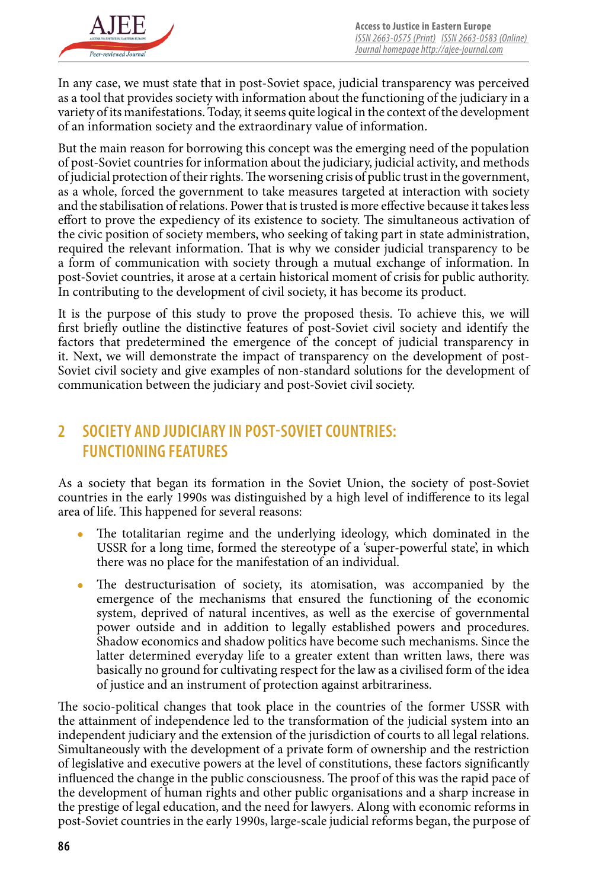

In any case, we must state that in post-Soviet space, judicial transparency was perceived as a tool that provides society with information about the functioning of the judiciary in a variety of its manifestations. Today, it seems quite logical in the context of the development of an information society and the extraordinary value of information.

But the main reason for borrowing this concept was the emerging need of the population of post-Soviet countries for information about the judiciary, judicial activity, and methods of judicial protection of their rights. The worsening crisis of public trust in the government, as a whole, forced the government to take measures targeted at interaction with society and the stabilisation of relations. Power that is trusted is more effective because it takes less effort to prove the expediency of its existence to society. The simultaneous activation of the civic position of society members, who seeking of taking part in state administration, required the relevant information. That is why we consider judicial transparency to be a form of communication with society through a mutual exchange of information. In post-Soviet countries, it arose at a certain historical moment of crisis for public authority. In contributing to the development of civil society, it has become its product.

It is the purpose of this study to prove the proposed thesis. To achieve this, we will first briefly outline the distinctive features of post-Soviet civil society and identify the factors that predetermined the emergence of the concept of judicial transparency in it. Next, we will demonstrate the impact of transparency on the development of post-Soviet civil society and give examples of non-standard solutions for the development of communication between the judiciary and post-Soviet civil society.

# **2 SOCIETY AND JUDICIARY IN POST-SOVIET COUNTRIES: FUNCTIONING FEATURES**

As a society that began its formation in the Soviet Union, the society of post-Soviet countries in the early 1990s was distinguished by a high level of indifference to its legal area of life. This happened for several reasons:

- The totalitarian regime and the underlying ideology, which dominated in the USSR for a long time, formed the stereotype of a 'super-powerful state', in which there was no place for the manifestation of an individual.
- The destructurisation of society, its atomisation, was accompanied by the emergence of the mechanisms that ensured the functioning of the economic system, deprived of natural incentives, as well as the exercise of governmental power outside and in addition to legally established powers and procedures. Shadow economics and shadow politics have become such mechanisms. Since the latter determined everyday life to a greater extent than written laws, there was basically no ground for cultivating respect for the law as a civilised form of the idea of justice and an instrument of protection against arbitrariness.

The socio-political changes that took place in the countries of the former USSR with the attainment of independence led to the transformation of the judicial system into an independent judiciary and the extension of the jurisdiction of courts to all legal relations. Simultaneously with the development of a private form of ownership and the restriction of legislative and executive powers at the level of constitutions, these factors significantly influenced the change in the public consciousness. The proof of this was the rapid pace of the development of human rights and other public organisations and a sharp increase in the prestige of legal education, and the need for lawyers. Along with economic reforms in post-Soviet countries in the early 1990s, large-scale judicial reforms began, the purpose of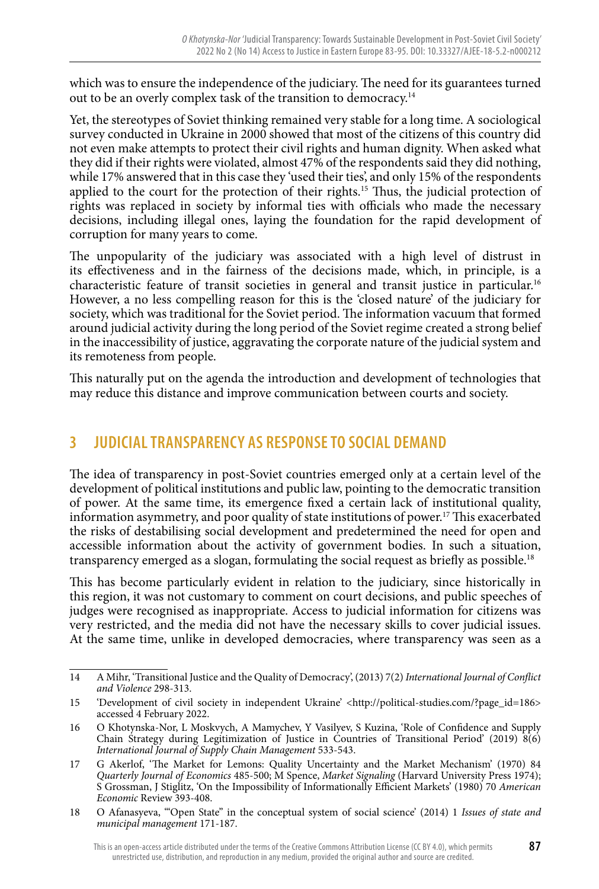which was to ensure the independence of the judiciary. The need for its guarantees turned out to be an overly complex task of the transition to democracy.14

Yet, the stereotypes of Soviet thinking remained very stable for a long time. A sociological survey conducted in Ukraine in 2000 showed that most of the citizens of this country did not even make attempts to protect their civil rights and human dignity. When asked what they did if their rights were violated, almost 47% of the respondents said they did nothing, while 17% answered that in this case they 'used their ties', and only 15% of the respondents applied to the court for the protection of their rights.15 Thus, the judicial protection of rights was replaced in society by informal ties with officials who made the necessary decisions, including illegal ones, laying the foundation for the rapid development of corruption for many years to come.

The unpopularity of the judiciary was associated with a high level of distrust in its effectiveness and in the fairness of the decisions made, which, in principle, is a characteristic feature of transit societies in general and transit justice in particular.16 However, a no less compelling reason for this is the 'closed nature' of the judiciary for society, which was traditional for the Soviet period. The information vacuum that formed around judicial activity during the long period of the Soviet regime created a strong belief in the inaccessibility of justice, aggravating the corporate nature of the judicial system and its remoteness from people.

This naturally put on the agenda the introduction and development of technologies that may reduce this distance and improve communication between courts and society.

### **3 JUDICIAL TRANSPARENCY AS RESPONSE TO SOCIAL DEMAND**

The idea of transparency in post-Soviet countries emerged only at a certain level of the development of political institutions and public law, pointing to the democratic transition of power. At the same time, its emergence fixed a certain lack of institutional quality, information asymmetry, and poor quality of state institutions of power.17 This exacerbated the risks of destabilising social development and predetermined the need for open and accessible information about the activity of government bodies. In such a situation, transparency emerged as a slogan, formulating the social request as briefly as possible.<sup>18</sup>

This has become particularly evident in relation to the judiciary, since historically in this region, it was not customary to comment on court decisions, and public speeches of judges were recognised as inappropriate. Access to judicial information for citizens was very restricted, and the media did not have the necessary skills to cover judicial issues. At the same time, unlike in developed democracies, where transparency was seen as a

<sup>14</sup> A Mihr, 'Transitional Justice and the Quality of Democracy', (2013) 7(2) *International Journal of Conflict and Violence* 298-313.

<sup>15 &#</sup>x27;Development of civil society in independent Ukraine' <http://political-studies.com/?page\_id=186> accessed 4 February 2022.

<sup>16</sup> O Khotynska-Nor, L Moskvych, A Mamychev, Y Vasilyev, S Kuzina, 'Role of Confidence and Supply Chain Strategy during Legitimization of Justice in Countries of Transitional Period' (2019) 8(6) *International Journal of Supply Chain Management* 533-543.

<sup>17</sup> G Akerlof, 'The Market for Lemons: Quality Uncertainty and the Market Mechanism' (1970) 84 *Quarterly Journal of Economics* 485-500; M Spence, *Market Signaling* (Harvard University Press 1974); S Grossman, J Stiglitz, 'On the Impossibility of Informationally Efficient Markets' (1980) 70 *American Economic* Review 393-408.

<sup>18</sup> O Afanasyeva, '"Open State" in the conceptual system of social science' (2014) 1 *Issues of state and municipal management* 171-187.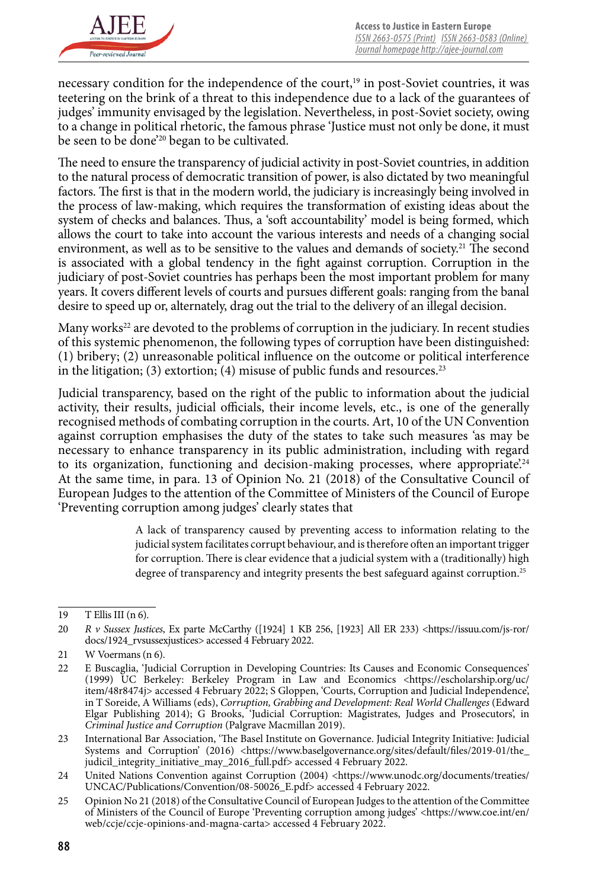

necessary condition for the independence of the court,<sup>19</sup> in post-Soviet countries, it was teetering on the brink of a threat to this independence due to a lack of the guarantees of judges' immunity envisaged by the legislation. Nevertheless, in post-Soviet society, owing to a change in political rhetoric, the famous phrase 'Justice must not only be done, it must be seen to be done<sup>'20</sup> began to be cultivated.

The need to ensure the transparency of judicial activity in post-Soviet countries, in addition to the natural process of democratic transition of power, is also dictated by two meaningful factors. The first is that in the modern world, the judiciary is increasingly being involved in the process of law-making, which requires the transformation of existing ideas about the system of checks and balances. Thus, a 'soft accountability' model is being formed, which allows the court to take into account the various interests and needs of a changing social environment, as well as to be sensitive to the values and demands of society.<sup>21</sup> The second is associated with a global tendency in the fight against corruption. Corruption in the judiciary of post-Soviet countries has perhaps been the most important problem for many years. It covers different levels of courts and pursues different goals: ranging from the banal desire to speed up or, alternately, drag out the trial to the delivery of an illegal decision.

Many works<sup>22</sup> are devoted to the problems of corruption in the judiciary. In recent studies of this systemic phenomenon, the following types of corruption have been distinguished: (1) bribery; (2) unreasonable political influence on the outcome or political interference in the litigation; (3) extortion; (4) misuse of public funds and resources.<sup>23</sup>

Judicial transparency, based on the right of the public to information about the judicial activity, their results, judicial officials, their income levels, etc., is one of the generally recognised methods of combating corruption in the courts. Art, 10 of the UN Convention against corruption emphasises the duty of the states to take such measures 'as may be necessary to enhance transparency in its public administration, including with regard to its organization, functioning and decision-making processes, where appropriate.<sup>24</sup> At the same time, in para. 13 of Opinion No. 21 (2018) of the Consultative Council of European Judges to the attention of the Committee of Ministers of the Council of Europe 'Preventing corruption among judges' clearly states that

> A lack of transparency caused by preventing access to information relating to the judicial system facilitates corrupt behaviour, and is therefore often an important trigger for corruption. There is clear evidence that a judicial system with a (traditionally) high degree of transparency and integrity presents the best safeguard against corruption.25

<sup>19</sup> T Ellis III (n 6).

<sup>20</sup> *R v Sussex Justices*, Ex parte McCarthy ([1924] 1 KB 256, [1923] All ER 233) <https://issuu.com/js-ror/ docs/1924\_rvsussexjustices> accessed 4 February 2022.

<sup>21</sup> W Voermans (n 6).

<sup>22</sup> E Buscaglia, 'Judicial Corruption in Developing Countries: Its Causes and Economic Consequences' (1999) UC Berkeley: Berkeley Program in Law and Economics <https://escholarship.org/uc/ item/48r8474j> accessed 4 February 2022; S Gloppen, 'Courts, Corruption and Judicial Independence', in T Soreide, A Williams (eds), *Corruption, Grabbing and Development: Real World Challenges* (Edward Elgar Publishing 2014); G Brooks, 'Judicial Corruption: Magistrates, Judges and Prosecutors', in *Criminal Justice and Corruption* (Palgrave Macmillan 2019).

<sup>23</sup> International Bar Association, 'The Basel Institute on Governance. Judicial Integrity Initiative: Judicial Systems and Corruption' (2016) <https://www.baselgovernance.org/sites/default/files/2019-01/the\_ judicil\_integrity\_initiative\_may\_2016\_full.pdf> accessed 4 February 2022.

<sup>24</sup> United Nations Convention against Corruption (2004) <https://www.unodc.org/documents/treaties/ UNCAC/Publications/Convention/08-50026\_E.pdf> accessed 4 February 2022.

<sup>25</sup> Opinion No 21 (2018) of the Consultative Council of European Judges to the attention of the Committee of Ministers of the Council of Europe 'Preventing corruption among judges' <https://www.coe.int/en/ web/ccje/ccje-opinions-and-magna-carta> accessed 4 February 2022.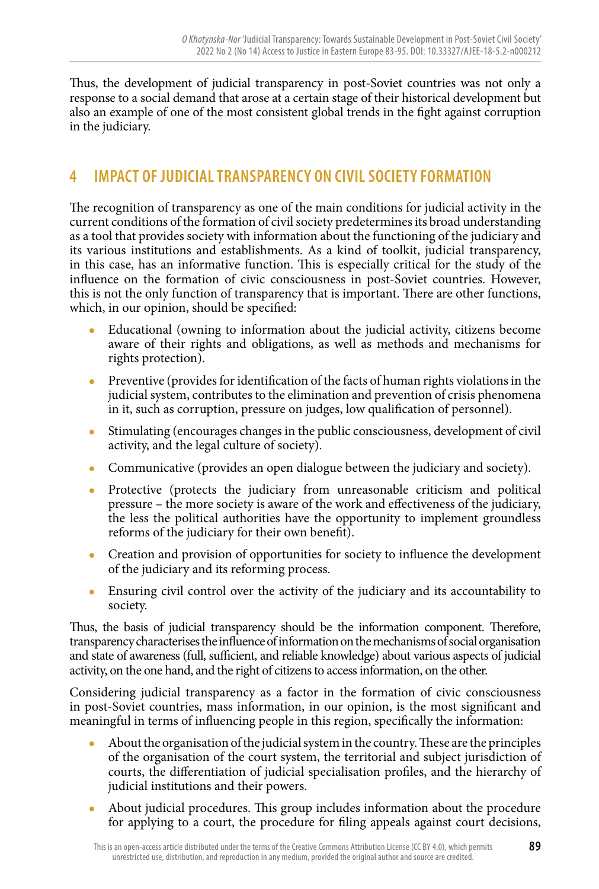Thus, the development of judicial transparency in post-Soviet countries was not only a response to a social demand that arose at a certain stage of their historical development but also an example of one of the most consistent global trends in the fight against corruption in the judiciary.

# **4 IMPACT OF JUDICIAL TRANSPARENCY ON CIVIL SOCIETY FORMATION**

The recognition of transparency as one of the main conditions for judicial activity in the current conditions of the formation of civil society predetermines its broad understanding as a tool that provides society with information about the functioning of the judiciary and its various institutions and establishments. As a kind of toolkit, judicial transparency, in this case, has an informative function. This is especially critical for the study of the influence on the formation of civic consciousness in post-Soviet countries. However, this is not the only function of transparency that is important. There are other functions, which, in our opinion, should be specified:

- Educational (owning to information about the judicial activity, citizens become aware of their rights and obligations, as well as methods and mechanisms for rights protection).
- Preventive (provides for identification of the facts of human rights violations in the judicial system, contributes to the elimination and prevention of crisis phenomena in it, such as corruption, pressure on judges, low qualification of personnel).
- Stimulating (encourages changes in the public consciousness, development of civil activity, and the legal culture of society).
- Communicative (provides an open dialogue between the judiciary and society).
- Protective (protects the judiciary from unreasonable criticism and political pressure – the more society is aware of the work and effectiveness of the judiciary, the less the political authorities have the opportunity to implement groundless reforms of the judiciary for their own benefit).
- Creation and provision of opportunities for society to influence the development of the judiciary and its reforming process.
- Ensuring civil control over the activity of the judiciary and its accountability to society.

Thus, the basis of judicial transparency should be the information component. Therefore, transparency characterises the influence of information on the mechanisms of social organisation and state of awareness (full, sufficient, and reliable knowledge) about various aspects of judicial activity, on the one hand, and the right of citizens to access information, on the other.

Considering judicial transparency as a factor in the formation of civic consciousness in post-Soviet countries, mass information, in our opinion, is the most significant and meaningful in terms of influencing people in this region, specifically the information:

- About the organisation of the judicial system in the country. These are the principles of the organisation of the court system, the territorial and subject jurisdiction of courts, the differentiation of judicial specialisation profiles, and the hierarchy of judicial institutions and their powers.
- About judicial procedures. This group includes information about the procedure for applying to a court, the procedure for filing appeals against court decisions,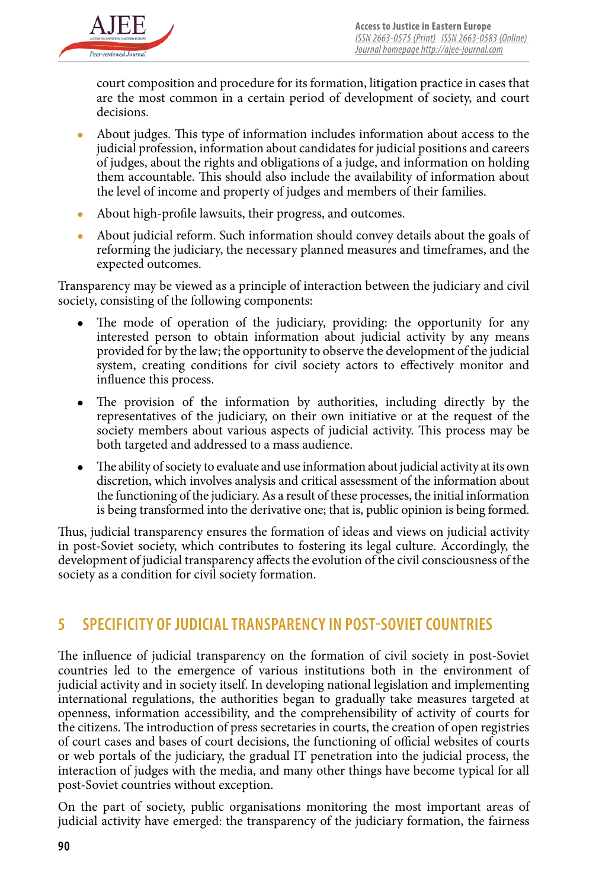

court composition and procedure for its formation, litigation practice in cases that are the most common in a certain period of development of society, and court decisions.

- About judges. This type of information includes information about access to the judicial profession, information about candidates for judicial positions and careers of judges, about the rights and obligations of a judge, and information on holding them accountable. This should also include the availability of information about the level of income and property of judges and members of their families.
- About high-profile lawsuits, their progress, and outcomes.
- About judicial reform. Such information should convey details about the goals of reforming the judiciary, the necessary planned measures and timeframes, and the expected outcomes.

Transparency may be viewed as a principle of interaction between the judiciary and civil society, consisting of the following components:

- The mode of operation of the judiciary, providing: the opportunity for any interested person to obtain information about judicial activity by any means provided for by the law; the opportunity to observe the development of the judicial system, creating conditions for civil society actors to effectively monitor and influence this process.
- The provision of the information by authorities, including directly by the representatives of the judiciary, on their own initiative or at the request of the society members about various aspects of judicial activity. This process may be both targeted and addressed to a mass audience.
- The ability of society to evaluate and use information about judicial activity at its own discretion, which involves analysis and critical assessment of the information about the functioning of the judiciary. As a result of these processes, the initial information is being transformed into the derivative one; that is, public opinion is being formed.

Thus, judicial transparency ensures the formation of ideas and views on judicial activity in post-Soviet society, which contributes to fostering its legal culture. Accordingly, the development of judicial transparency affects the evolution of the civil consciousness of the society as a condition for civil society formation.

# **5 SPECIFICITY OF JUDICIAL TRANSPARENCY IN POST-SOVIET COUNTRIES**

The influence of judicial transparency on the formation of civil society in post-Soviet countries led to the emergence of various institutions both in the environment of judicial activity and in society itself. In developing national legislation and implementing international regulations, the authorities began to gradually take measures targeted at openness, information accessibility, and the comprehensibility of activity of courts for the citizens. The introduction of press secretaries in courts, the creation of open registries of court cases and bases of court decisions, the functioning of official websites of courts or web portals of the judiciary, the gradual IT penetration into the judicial process, the interaction of judges with the media, and many other things have become typical for all post-Soviet countries without exception.

On the part of society, public organisations monitoring the most important areas of judicial activity have emerged: the transparency of the judiciary formation, the fairness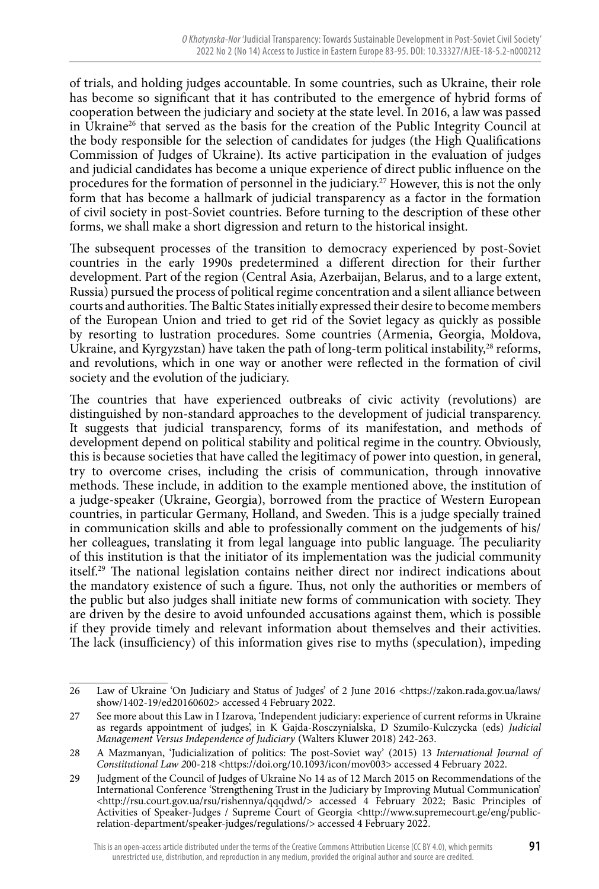of trials, and holding judges accountable. In some countries, such as Ukraine, their role has become so significant that it has contributed to the emergence of hybrid forms of cooperation between the judiciary and society at the state level. In 2016, a law was passed in Ukraine26 that served as the basis for the creation of the Public Integrity Council at the body responsible for the selection of candidates for judges (the High Qualifications Commission of Judges of Ukraine). Its active participation in the evaluation of judges and judicial candidates has become a unique experience of direct public influence on the procedures for the formation of personnel in the judiciary.<sup>27</sup> However, this is not the only form that has become a hallmark of judicial transparency as a factor in the formation of civil society in post-Soviet countries. Before turning to the description of these other forms, we shall make a short digression and return to the historical insight.

The subsequent processes of the transition to democracy experienced by post-Soviet countries in the early 1990s predetermined a different direction for their further development. Part of the region (Central Asia, Azerbaijan, Belarus, and to a large extent, Russia) pursued the process of political regime concentration and a silent alliance between courts and authorities. The Baltic States initially expressed their desire to become members of the European Union and tried to get rid of the Soviet legacy as quickly as possible by resorting to lustration procedures. Some countries (Armenia, Georgia, Moldova, Ukraine, and Kyrgyzstan) have taken the path of long-term political instability,<sup>28</sup> reforms, and revolutions, which in one way or another were reflected in the formation of civil society and the evolution of the judiciary.

The countries that have experienced outbreaks of civic activity (revolutions) are distinguished by non-standard approaches to the development of judicial transparency. It suggests that judicial transparency, forms of its manifestation, and methods of development depend on political stability and political regime in the country. Obviously, this is because societies that have called the legitimacy of power into question, in general, try to overcome crises, including the crisis of communication, through innovative methods. These include, in addition to the example mentioned above, the institution of a judge-speaker (Ukraine, Georgia), borrowed from the practice of Western European countries, in particular Germany, Holland, and Sweden. This is a judge specially trained in communication skills and able to professionally comment on the judgements of his/ her colleagues, translating it from legal language into public language. The peculiarity of this institution is that the initiator of its implementation was the judicial community itself.<sup>29</sup> The national legislation contains neither direct nor indirect indications about the mandatory existence of such a figure. Thus, not only the authorities or members of the public but also judges shall initiate new forms of communication with society. They are driven by the desire to avoid unfounded accusations against them, which is possible if they provide timely and relevant information about themselves and their activities. The lack (insufficiency) of this information gives rise to myths (speculation), impeding

<sup>26</sup> Law of Ukraine 'On Judiciary and Status of Judges' of 2 June 2016 <https://zakon.rada.gov.ua/laws/ show/1402-19/ed20160602> accessed 4 February 2022.

<sup>27</sup> See more about this Law in I Izarova, 'Independent judiciary: experience of current reforms in Ukraine as regards appointment of judges', in K Gajda-Rosczynialska, D Szumilo-Kulczycka (eds) *Judicial Management Versus Independence of Judiciary* (Walters Kluwer 2018) 242-263.

<sup>28</sup> A Mazmanyan, 'Judicialization of politics: The post-Soviet way' (2015) 13 *International Journal of Constitutional Law 200-218* <https://doi.org/10.1093/icon/mov003> accessed 4 February 2022.

<sup>29</sup> Judgment of the Council of Judges of Ukraine No 14 as of 12 March 2015 on Recommendations of the International Conference 'Strengthening Trust in the Judiciary by Improving Mutual Communication' <http://rsu.court.gov.ua/rsu/rishennya/qqqdwd/> accessed 4 February 2022; Basic Principles of Activities of Speaker-Judges / Supreme Court of Georgia <http://www.supremecourt.ge/eng/publicrelation-department/speaker-judges/regulations/> accessed 4 February 2022.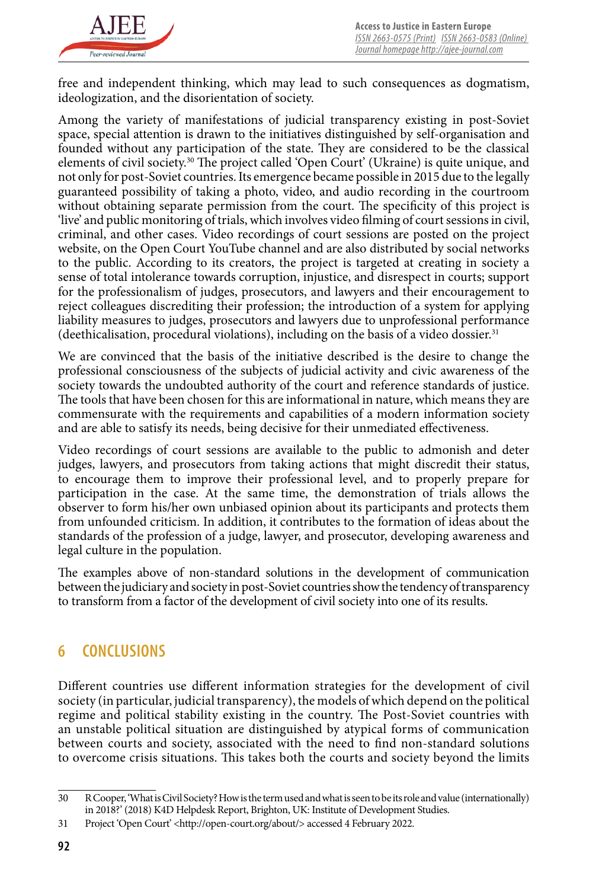

free and independent thinking, which may lead to such consequences as dogmatism, ideologization, and the disorientation of society.

Among the variety of manifestations of judicial transparency existing in post-Soviet space, special attention is drawn to the initiatives distinguished by self-organisation and founded without any participation of the state. They are considered to be the classical elements of civil society.<sup>30</sup> The project called 'Open Court' (Ukraine) is quite unique, and not only for post-Soviet countries. Its emergence became possible in 2015 due to the legally guaranteed possibility of taking a photo, video, and audio recording in the courtroom without obtaining separate permission from the court. The specificity of this project is 'live' and public monitoring of trials, which involves video filming of court sessions in civil, criminal, and other cases. Video recordings of court sessions are posted on the project website, on the Open Court YouTube channel and are also distributed by social networks to the public. According to its creators, the project is targeted at creating in society a sense of total intolerance towards corruption, injustice, and disrespect in courts; support for the professionalism of judges, prosecutors, and lawyers and their encouragement to reject colleagues discrediting their profession; the introduction of a system for applying liability measures to judges, prosecutors and lawyers due to unprofessional performance (deethicalisation, procedural violations), including on the basis of a video dossier. $31$ 

We are convinced that the basis of the initiative described is the desire to change the professional consciousness of the subjects of judicial activity and civic awareness of the society towards the undoubted authority of the court and reference standards of justice. The tools that have been chosen for this are informational in nature, which means they are commensurate with the requirements and capabilities of a modern information society and are able to satisfy its needs, being decisive for their unmediated effectiveness.

Video recordings of court sessions are available to the public to admonish and deter judges, lawyers, and prosecutors from taking actions that might discredit their status, to encourage them to improve their professional level, and to properly prepare for participation in the case. At the same time, the demonstration of trials allows the observer to form his/her own unbiased opinion about its participants and protects them from unfounded criticism. In addition, it contributes to the formation of ideas about the standards of the profession of a judge, lawyer, and prosecutor, developing awareness and legal culture in the population.

The examples above of non-standard solutions in the development of communication between the judiciary and society in post-Soviet countries show the tendency of transparency to transform from a factor of the development of civil society into one of its results.

# **6 CONCLUSIONS**

Different countries use different information strategies for the development of civil society (in particular, judicial transparency), the models of which depend on the political regime and political stability existing in the country. The Post-Soviet countries with an unstable political situation are distinguished by atypical forms of communication between courts and society, associated with the need to find non-standard solutions to overcome crisis situations. This takes both the courts and society beyond the limits

<sup>30</sup> R Cooper, 'What is Civil Society? How is the term used and what is seen to be its role and value (internationally) in 2018?' (2018) K4D Helpdesk Report, Brighton, UK: Institute of Development Studies.

<sup>31</sup> Project 'Open Court' <http://open-court.org/about/> accessed 4 February 2022.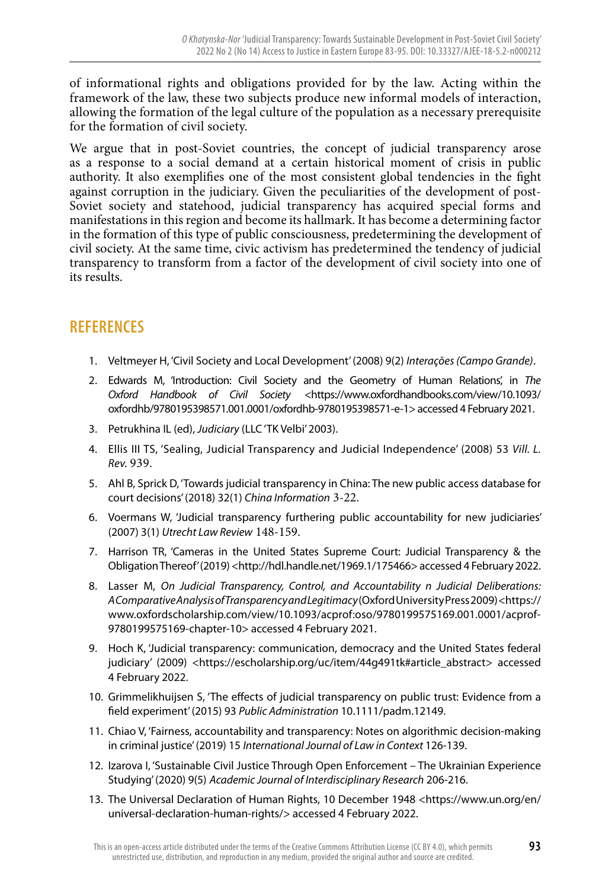of informational rights and obligations provided for by the law. Acting within the framework of the law, these two subjects produce new informal models of interaction, allowing the formation of the legal culture of the population as a necessary prerequisite for the formation of civil society.

We argue that in post-Soviet countries, the concept of judicial transparency arose as a response to a social demand at a certain historical moment of crisis in public authority. It also exemplifies one of the most consistent global tendencies in the fight against corruption in the judiciary. Given the peculiarities of the development of post-Soviet society and statehood, judicial transparency has acquired special forms and manifestations in this region and become its hallmark. It has become a determining factor in the formation of this type of public consciousness, predetermining the development of civil society. At the same time, civic activism has predetermined the tendency of judicial transparency to transform from a factor of the development of civil society into one of its results.

# **REFERENCES**

- 1. Veltmeyer H, 'Civil Society and Local Development' (2008) 9(2) *Interações (Campo Grande)*.
- 2. Edwards M, 'Introduction: Civil Society and the Geometry of Human Relations', in *The Oxford Handbook of Civil Society* <https://www.oxfordhandbooks.com/view/10.1093/ oxfordhb/9780195398571.001.0001/oxfordhb-9780195398571-e-1> accessed 4 February 2021.
- 3. Petrukhina IL (ed), *Judiciary* (LLC 'TK Velbi' 2003).
- 4. Ellis III TS, 'Sealing, Judicial Transparency and Judicial Independence' (2008) 53 *Vill. L. Rev.* 939.
- 5. Ahl B, Sprick D, 'Towards judicial transparency in China: The new public access database for court decisions' (2018) 32(1) *China Information* 3-22.
- 6. Voermans W, 'Judicial transparency furthering public accountability for new judiciaries' (2007) 3(1) *Utrecht Law Review* 148-159.
- 7. Harrison TR, 'Cameras in the United States Supreme Court: Judicial Transparency & the Obligation Thereof' (2019) <http://hdl.handle.net/1969.1/175466> accessed 4 February 2022.
- 8. Lasser M, *On Judicial Transparency, Control, and Accountability n Judicial Deliberations: A Comparative Analysis of Transparency and Legitimacy* (Oxford University Press 2009) <https:// www.oxfordscholarship.com/view/10.1093/acprof:oso/9780199575169.001.0001/acprof-9780199575169-chapter-10> accessed 4 February 2021.
- 9. Hoch K, 'Judicial transparency: communication, democracy and the United States federal judiciary' (2009) <https://escholarship.org/uc/item/44g491tk#article\_abstract> accessed 4 February 2022.
- 10. Grimmelikhuijsen S, 'The effects of judicial transparency on public trust: Evidence from a field experiment' (2015) 93 *Public Administration* 10.1111/padm.12149.
- 11. Chiao V, 'Fairness, accountability and transparency: Notes on algorithmic decision-making in criminal justice' (2019) 15 *International Journal of Law in Context* 126-139.
- 12. Izarova I, 'Sustainable Civil Justice Through Open Enforcement The Ukrainian Experience Studying' (2020) 9(5) *Academic Journal of Interdisciplinary Research* 206-216.
- 13. The Universal Declaration of Human Rights, 10 December 1948 <https://www.un.org/en/ universal-declaration-human-rights/> accessed 4 February 2022.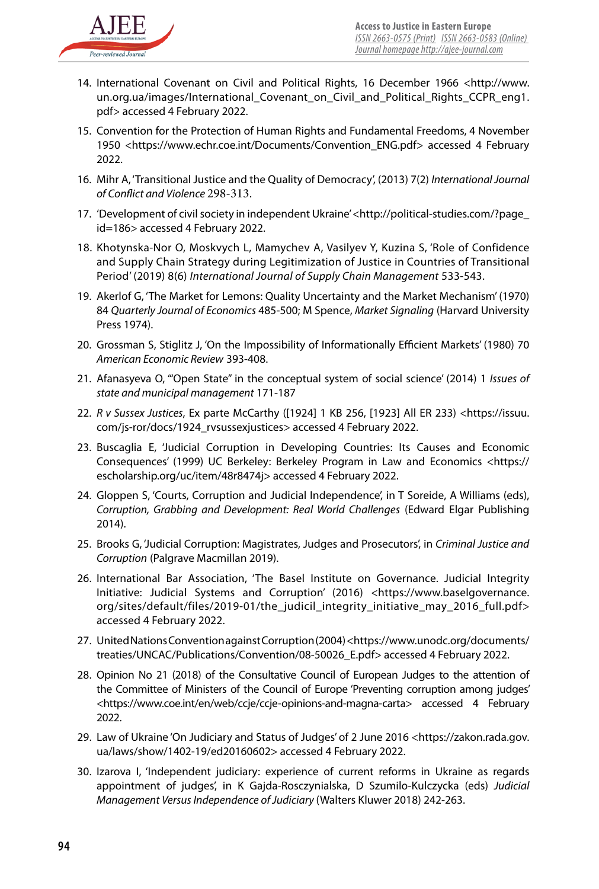

- 14. International Covenant on Civil and Political Rights, 16 December 1966 <http://www. un.org.ua/images/International\_Covenant\_on\_Civil\_and\_Political\_Rights\_CCPR\_eng1. pdf> accessed 4 February 2022.
- 15. Convention for the Protection of Human Rights and Fundamental Freedoms, 4 November 1950 <https://www.echr.coe.int/Documents/Convention\_ENG.pdf> accessed 4 February 2022.
- 16. Mihr A, 'Transitional Justice and the Quality of Democracy', (2013) 7(2) *International Journal of Conflict and Violence* 298-313.
- 17. 'Development of civil society in independent Ukraine' <http://political-studies.com/?page\_ id=186> accessed 4 February 2022.
- 18. Khotynska-Nor O, Moskvych L, Mamychev A, Vasilyev Y, Kuzina S, 'Role of Confidence and Supply Chain Strategy during Legitimization of Justice in Countries of Transitional Period' (2019) 8(6) *International Journal of Supply Chain Management* 533-543.
- 19. Akerlof G, 'The Market for Lemons: Quality Uncertainty and the Market Mechanism' (1970) 84 *Quarterly Journal of Economics* 485-500; M Spence, *Market Signaling* (Harvard University Press 1974).
- 20. Grossman S, Stiglitz J, 'On the Impossibility of Informationally Efficient Markets' (1980) 70 *American Economic Review* 393-408.
- 21. Afanasyeva O, '"Open State" in the conceptual system of social science' (2014) 1 *Issues of state and municipal management* 171-187
- 22. *R v Sussex Justices*, Ex parte McCarthy ([1924] 1 KB 256, [1923] All ER 233) <https://issuu. com/js-ror/docs/1924\_rvsussexjustices> accessed 4 February 2022.
- 23. Buscaglia E, 'Judicial Corruption in Developing Countries: Its Causes and Economic Consequences' (1999) UC Berkeley: Berkeley Program in Law and Economics <https:// escholarship.org/uc/item/48r8474j> accessed 4 February 2022.
- 24. Gloppen S, 'Courts, Corruption and Judicial Independence', in T Soreide, A Williams (eds), *Corruption, Grabbing and Development: Real World Challenges* (Edward Elgar Publishing 2014).
- 25. Brooks G, 'Judicial Corruption: Magistrates, Judges and Prosecutors', in *Criminal Justice and Corruption* (Palgrave Macmillan 2019).
- 26. International Bar Association, 'The Basel Institute on Governance. Judicial Integrity Initiative: Judicial Systems and Corruption' (2016) <https://www.baselgovernance. org/sites/default/files/2019-01/the\_judicil\_integrity\_initiative\_may\_2016\_full.pdf> accessed 4 February 2022.
- 27. United Nations Convention against Corruption (2004) <https://www.unodc.org/documents/ treaties/UNCAC/Publications/Convention/08-50026\_E.pdf> accessed 4 February 2022.
- 28. Opinion No 21 (2018) of the Consultative Council of European Judges to the attention of the Committee of Ministers of the Council of Europe 'Preventing corruption among judges' <https://www.coe.int/en/web/ccje/ccje-opinions-and-magna-carta> accessed 4 February 2022.
- 29. Law of Ukraine 'On Judiciary and Status of Judges' of 2 June 2016 <https://zakon.rada.gov. ua/laws/show/1402-19/ed20160602> accessed 4 February 2022.
- 30. Izarova I, 'Independent judiciary: experience of current reforms in Ukraine as regards appointment of judges', in K Gajda-Rosczynialska, D Szumilo-Kulczycka (eds) *Judicial Management Versus Independence of Judiciary* (Walters Kluwer 2018) 242-263.